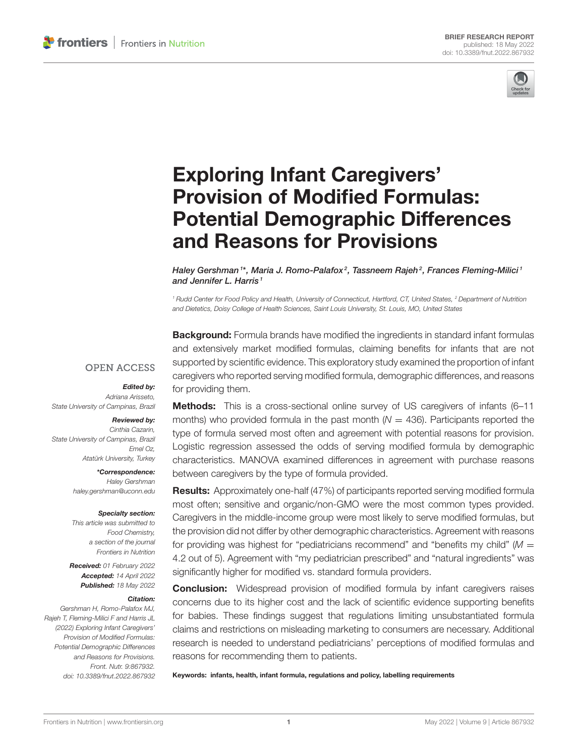

# Exploring Infant Caregivers' Provision of Modified Formulas: [Potential Demographic Differences](https://www.frontiersin.org/articles/10.3389/fnut.2022.867932/full) and Reasons for Provisions

Haley Gershman <sup>1\*</sup>, Maria J. Romo-Palafox<sup>2</sup>, Tassneem Rajeh<sup>2</sup>, Frances Fleming-Milici <sup>1</sup> and Jennifer L. Harris<sup>1</sup>

<sup>1</sup> Rudd Center for Food Policy and Health, University of Connecticut, Hartford, CT, United States, <sup>2</sup> Department of Nutrition and Dietetics, Doisy College of Health Sciences, Saint Louis University, St. Louis, MO, United States

**Background:** Formula brands have modified the ingredients in standard infant formulas and extensively market modified formulas, claiming benefits for infants that are not supported by scientific evidence. This exploratory study examined the proportion of infant caregivers who reported serving modified formula, demographic differences, and reasons for providing them.

### **OPEN ACCESS**

### Edited by:

Adriana Arisseto, State University of Campinas, Brazil

#### Reviewed by:

Cinthia Cazarin, State University of Campinas, Brazil Emel Oz, Atatürk University, Turkey

> \*Correspondence: Haley Gershman [haley.gershman@uconn.edu](mailto:haley.gershman@uconn.edu)

#### Specialty section:

This article was submitted to Food Chemistry, a section of the journal Frontiers in Nutrition

Received: 01 February 2022 Accepted: 14 April 2022 Published: 18 May 2022

#### Citation:

Gershman H, Romo-Palafox MJ, Rajeh T, Fleming-Milici F and Harris JL (2022) Exploring Infant Caregivers' Provision of Modified Formulas: Potential Demographic Differences and Reasons for Provisions. Front. Nutr. 9:867932. doi: [10.3389/fnut.2022.867932](https://doi.org/10.3389/fnut.2022.867932)

Methods: This is a cross-sectional online survey of US caregivers of infants (6-11 months) who provided formula in the past month  $(N = 436)$ . Participants reported the type of formula served most often and agreement with potential reasons for provision. Logistic regression assessed the odds of serving modified formula by demographic characteristics. MANOVA examined differences in agreement with purchase reasons between caregivers by the type of formula provided.

Results: Approximately one-half (47%) of participants reported serving modified formula most often; sensitive and organic/non-GMO were the most common types provided. Caregivers in the middle-income group were most likely to serve modified formulas, but the provision did not differ by other demographic characteristics. Agreement with reasons for providing was highest for "pediatricians recommend" and "benefits my child"  $(M =$ 4.2 out of 5). Agreement with "my pediatrician prescribed" and "natural ingredients" was significantly higher for modified vs. standard formula providers.

**Conclusion:** Widespread provision of modified formula by infant caregivers raises concerns due to its higher cost and the lack of scientific evidence supporting benefits for babies. These findings suggest that regulations limiting unsubstantiated formula claims and restrictions on misleading marketing to consumers are necessary. Additional research is needed to understand pediatricians' perceptions of modified formulas and reasons for recommending them to patients.

Keywords: infants, health, infant formula, regulations and policy, labelling requirements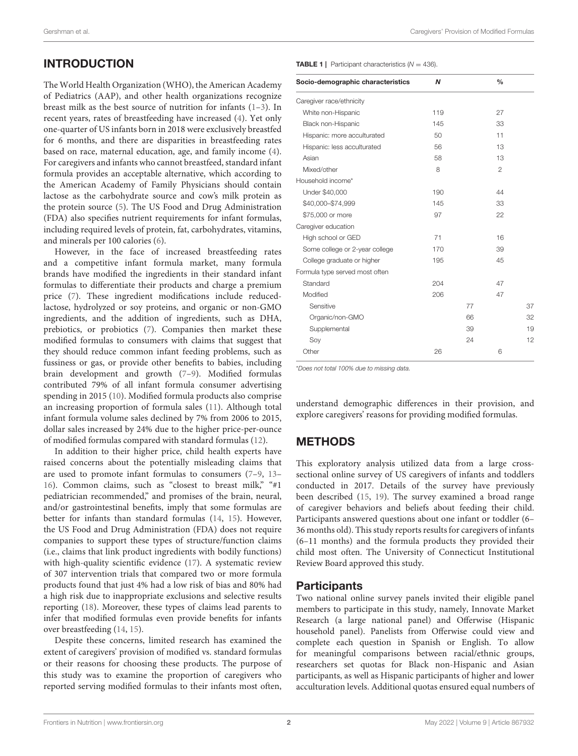# INTRODUCTION

The World Health Organization (WHO), the American Academy of Pediatrics (AAP), and other health organizations recognize breast milk as the best source of nutrition for infants [\(1–](#page-5-0)[3\)](#page-5-1). In recent years, rates of breastfeeding have increased [\(4\)](#page-5-2). Yet only one-quarter of US infants born in 2018 were exclusively breastfed for 6 months, and there are disparities in breastfeeding rates based on race, maternal education, age, and family income [\(4\)](#page-5-2). For caregivers and infants who cannot breastfeed, standard infant formula provides an acceptable alternative, which according to the American Academy of Family Physicians should contain lactose as the carbohydrate source and cow's milk protein as the protein source [\(5\)](#page-5-3). The US Food and Drug Administration (FDA) also specifies nutrient requirements for infant formulas, including required levels of protein, fat, carbohydrates, vitamins, and minerals per 100 calories [\(6\)](#page-5-4).

However, in the face of increased breastfeeding rates and a competitive infant formula market, many formula brands have modified the ingredients in their standard infant formulas to differentiate their products and charge a premium price [\(7\)](#page-5-5). These ingredient modifications include reducedlactose, hydrolyzed or soy proteins, and organic or non-GMO ingredients, and the addition of ingredients, such as DHA, prebiotics, or probiotics [\(7\)](#page-5-5). Companies then market these modified formulas to consumers with claims that suggest that they should reduce common infant feeding problems, such as fussiness or gas, or provide other benefits to babies, including brain development and growth [\(7](#page-5-5)[–9\)](#page-5-6). Modified formulas contributed 79% of all infant formula consumer advertising spending in 2015 [\(10\)](#page-5-7). Modified formula products also comprise an increasing proportion of formula sales [\(11\)](#page-5-8). Although total infant formula volume sales declined by 7% from 2006 to 2015, dollar sales increased by 24% due to the higher price-per-ounce of modified formulas compared with standard formulas [\(12\)](#page-5-9).

In addition to their higher price, child health experts have raised concerns about the potentially misleading claims that are used to promote infant formulas to consumers [\(7](#page-5-5)[–9,](#page-5-6) [13–](#page-5-10) [16\)](#page-5-11). Common claims, such as "closest to breast milk," "#1 pediatrician recommended," and promises of the brain, neural, and/or gastrointestinal benefits, imply that some formulas are better for infants than standard formulas [\(14,](#page-5-12) [15\)](#page-5-13). However, the US Food and Drug Administration (FDA) does not require companies to support these types of structure/function claims (i.e., claims that link product ingredients with bodily functions) with high-quality scientific evidence [\(17\)](#page-5-14). A systematic review of 307 intervention trials that compared two or more formula products found that just 4% had a low risk of bias and 80% had a high risk due to inappropriate exclusions and selective results reporting [\(18\)](#page-5-15). Moreover, these types of claims lead parents to infer that modified formulas even provide benefits for infants over breastfeeding [\(14,](#page-5-12) [15\)](#page-5-13).

Despite these concerns, limited research has examined the extent of caregivers' provision of modified vs. standard formulas or their reasons for choosing these products. The purpose of this study was to examine the proportion of caregivers who reported serving modified formulas to their infants most often, <span id="page-1-0"></span>**TABLE 1** | Participant characteristics  $(N = 436)$ .

| Socio-demographic characteristics | Ν   |    | $\frac{0}{0}$ |    |
|-----------------------------------|-----|----|---------------|----|
| Caregiver race/ethnicity          |     |    |               |    |
| White non-Hispanic                | 119 |    | 27            |    |
| Black non-Hispanic                | 145 |    | 33            |    |
| Hispanic: more acculturated       | 50  |    | 11            |    |
| Hispanic: less acculturated       | 56  |    | 13            |    |
| Asian                             | 58  |    | 13            |    |
| Mixed/other                       | 8   |    | 2             |    |
| Household income*                 |     |    |               |    |
| Under \$40,000                    | 190 |    | 44            |    |
| \$40,000-\$74,999                 | 145 |    | 33            |    |
| \$75,000 or more                  | 97  |    | 22            |    |
| Caregiver education               |     |    |               |    |
| High school or GED                | 71  |    | 16            |    |
| Some college or 2-year college    | 170 |    | 39            |    |
| College graduate or higher        | 195 |    | 45            |    |
| Formula type served most often    |     |    |               |    |
| Standard                          | 204 |    | 47            |    |
| Modified                          | 206 |    | 47            |    |
| Sensitive                         |     | 77 |               | 37 |
| Organic/non-GMO                   |     | 66 |               | 32 |
| Supplemental                      |     | 39 |               | 19 |
| Soy                               |     | 24 |               | 12 |
| Other                             | 26  |    | 6             |    |

\*Does not total 100% due to missing data.

understand demographic differences in their provision, and explore caregivers' reasons for providing modified formulas.

## METHODS

This exploratory analysis utilized data from a large crosssectional online survey of US caregivers of infants and toddlers conducted in 2017. Details of the survey have previously been described [\(15,](#page-5-13) [19\)](#page-5-16). The survey examined a broad range of caregiver behaviors and beliefs about feeding their child. Participants answered questions about one infant or toddler (6– 36 months old). This study reports results for caregivers of infants (6–11 months) and the formula products they provided their child most often. The University of Connecticut Institutional Review Board approved this study.

## **Participants**

Two national online survey panels invited their eligible panel members to participate in this study, namely, Innovate Market Research (a large national panel) and Offerwise (Hispanic household panel). Panelists from Offerwise could view and complete each question in Spanish or English. To allow for meaningful comparisons between racial/ethnic groups, researchers set quotas for Black non-Hispanic and Asian participants, as well as Hispanic participants of higher and lower acculturation levels. Additional quotas ensured equal numbers of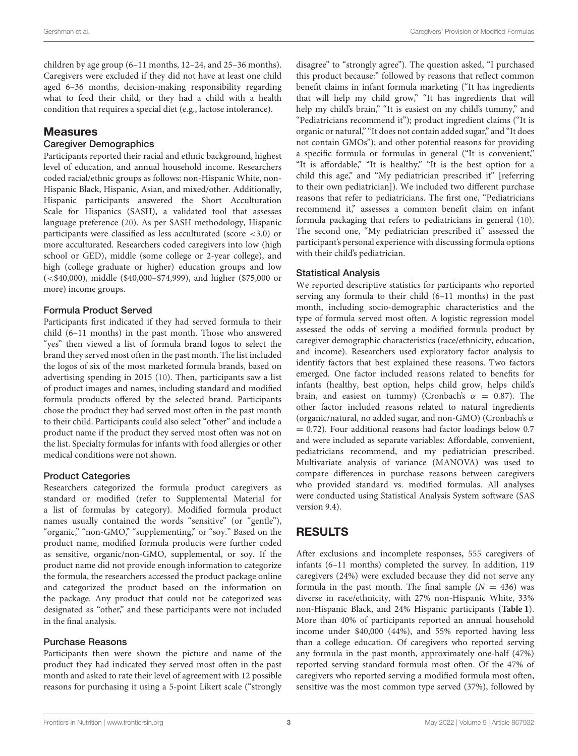children by age group (6–11 months, 12–24, and 25–36 months). Caregivers were excluded if they did not have at least one child aged 6–36 months, decision-making responsibility regarding what to feed their child, or they had a child with a health condition that requires a special diet (e.g., lactose intolerance).

## **Measures**

### Caregiver Demographics

Participants reported their racial and ethnic background, highest level of education, and annual household income. Researchers coded racial/ethnic groups as follows: non-Hispanic White, non-Hispanic Black, Hispanic, Asian, and mixed/other. Additionally, Hispanic participants answered the Short Acculturation Scale for Hispanics (SASH), a validated tool that assesses language preference [\(20\)](#page-5-17). As per SASH methodology, Hispanic participants were classified as less acculturated (score <3.0) or more acculturated. Researchers coded caregivers into low (high school or GED), middle (some college or 2-year college), and high (college graduate or higher) education groups and low (<\$40,000), middle (\$40,000–\$74,999), and higher (\$75,000 or more) income groups.

### Formula Product Served

Participants first indicated if they had served formula to their child (6–11 months) in the past month. Those who answered "yes" then viewed a list of formula brand logos to select the brand they served most often in the past month. The list included the logos of six of the most marketed formula brands, based on advertising spending in 2015 [\(10\)](#page-5-7). Then, participants saw a list of product images and names, including standard and modified formula products offered by the selected brand. Participants chose the product they had served most often in the past month to their child. Participants could also select "other" and include a product name if the product they served most often was not on the list. Specialty formulas for infants with food allergies or other medical conditions were not shown.

#### Product Categories

Researchers categorized the formula product caregivers as standard or modified (refer to Supplemental Material for a list of formulas by category). Modified formula product names usually contained the words "sensitive" (or "gentle"), "organic," "non-GMO," "supplementing," or "soy." Based on the product name, modified formula products were further coded as sensitive, organic/non-GMO, supplemental, or soy. If the product name did not provide enough information to categorize the formula, the researchers accessed the product package online and categorized the product based on the information on the package. Any product that could not be categorized was designated as "other," and these participants were not included in the final analysis.

#### Purchase Reasons

Participants then were shown the picture and name of the product they had indicated they served most often in the past month and asked to rate their level of agreement with 12 possible reasons for purchasing it using a 5-point Likert scale ("strongly disagree" to "strongly agree"). The question asked, "I purchased this product because:" followed by reasons that reflect common benefit claims in infant formula marketing ("It has ingredients that will help my child grow," "It has ingredients that will help my child's brain," "It is easiest on my child's tummy," and "Pediatricians recommend it"); product ingredient claims ("It is organic or natural," "It does not contain added sugar," and "It does not contain GMOs"); and other potential reasons for providing a specific formula or formulas in general ("It is convenient," "It is affordable," "It is healthy," "It is the best option for a child this age," and "My pediatrician prescribed it" [referring to their own pediatrician]). We included two different purchase reasons that refer to pediatricians. The first one, "Pediatricians recommend it," assesses a common benefit claim on infant formula packaging that refers to pediatricians in general [\(10\)](#page-5-7). The second one, "My pediatrician prescribed it" assessed the participant's personal experience with discussing formula options with their child's pediatrician.

## Statistical Analysis

We reported descriptive statistics for participants who reported serving any formula to their child (6–11 months) in the past month, including socio-demographic characteristics and the type of formula served most often. A logistic regression model assessed the odds of serving a modified formula product by caregiver demographic characteristics (race/ethnicity, education, and income). Researchers used exploratory factor analysis to identify factors that best explained these reasons. Two factors emerged. One factor included reasons related to benefits for infants (healthy, best option, helps child grow, helps child's brain, and easiest on tummy) (Cronbach's  $\alpha = 0.87$ ). The other factor included reasons related to natural ingredients (organic/natural, no added sugar, and non-GMO) (Cronbach's  $\alpha$  $= 0.72$ ). Four additional reasons had factor loadings below 0.7 and were included as separate variables: Affordable, convenient, pediatricians recommend, and my pediatrician prescribed. Multivariate analysis of variance (MANOVA) was used to compare differences in purchase reasons between caregivers who provided standard vs. modified formulas. All analyses were conducted using Statistical Analysis System software (SAS version 9.4).

## RESULTS

After exclusions and incomplete responses, 555 caregivers of infants (6–11 months) completed the survey. In addition, 119 caregivers (24%) were excluded because they did not serve any formula in the past month. The final sample  $(N = 436)$  was diverse in race/ethnicity, with 27% non-Hispanic White, 33% non-Hispanic Black, and 24% Hispanic participants (**[Table 1](#page-1-0)**). More than 40% of participants reported an annual household income under \$40,000 (44%), and 55% reported having less than a college education. Of caregivers who reported serving any formula in the past month, approximately one-half (47%) reported serving standard formula most often. Of the 47% of caregivers who reported serving a modified formula most often, sensitive was the most common type served (37%), followed by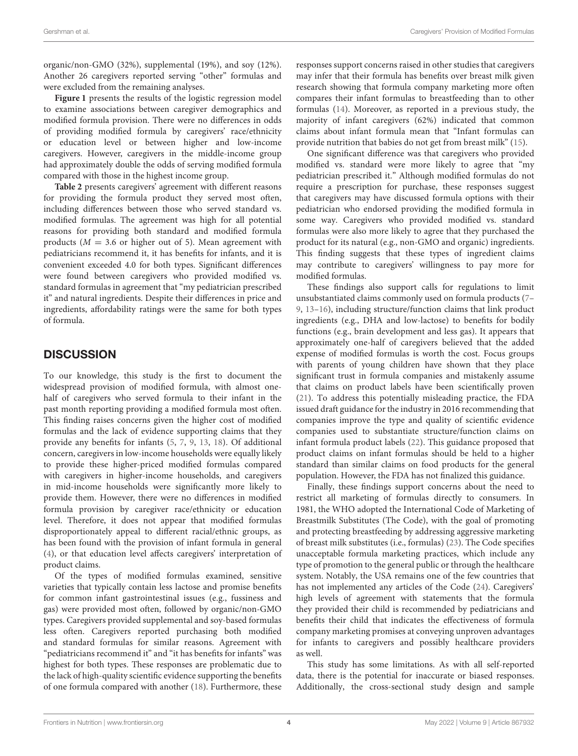organic/non-GMO (32%), supplemental (19%), and soy (12%). Another 26 caregivers reported serving "other" formulas and were excluded from the remaining analyses.

**[Figure 1](#page-4-0)** presents the results of the logistic regression model to examine associations between caregiver demographics and modified formula provision. There were no differences in odds of providing modified formula by caregivers' race/ethnicity or education level or between higher and low-income caregivers. However, caregivers in the middle-income group had approximately double the odds of serving modified formula compared with those in the highest income group.

**[Table 2](#page-4-1)** presents caregivers' agreement with different reasons for providing the formula product they served most often, including differences between those who served standard vs. modified formulas. The agreement was high for all potential reasons for providing both standard and modified formula products ( $M = 3.6$  or higher out of 5). Mean agreement with pediatricians recommend it, it has benefits for infants, and it is convenient exceeded 4.0 for both types. Significant differences were found between caregivers who provided modified vs. standard formulas in agreement that "my pediatrician prescribed it" and natural ingredients. Despite their differences in price and ingredients, affordability ratings were the same for both types of formula.

## **DISCUSSION**

To our knowledge, this study is the first to document the widespread provision of modified formula, with almost onehalf of caregivers who served formula to their infant in the past month reporting providing a modified formula most often. This finding raises concerns given the higher cost of modified formulas and the lack of evidence supporting claims that they provide any benefits for infants [\(5,](#page-5-3) [7,](#page-5-5) [9,](#page-5-6) [13,](#page-5-10) [18\)](#page-5-15). Of additional concern, caregivers in low-income households were equally likely to provide these higher-priced modified formulas compared with caregivers in higher-income households, and caregivers in mid-income households were significantly more likely to provide them. However, there were no differences in modified formula provision by caregiver race/ethnicity or education level. Therefore, it does not appear that modified formulas disproportionately appeal to different racial/ethnic groups, as has been found with the provision of infant formula in general [\(4\)](#page-5-2), or that education level affects caregivers' interpretation of product claims.

Of the types of modified formulas examined, sensitive varieties that typically contain less lactose and promise benefits for common infant gastrointestinal issues (e.g., fussiness and gas) were provided most often, followed by organic/non-GMO types. Caregivers provided supplemental and soy-based formulas less often. Caregivers reported purchasing both modified and standard formulas for similar reasons. Agreement with "pediatricians recommend it" and "it has benefits for infants" was highest for both types. These responses are problematic due to the lack of high-quality scientific evidence supporting the benefits of one formula compared with another [\(18\)](#page-5-15). Furthermore, these responses support concerns raised in other studies that caregivers may infer that their formula has benefits over breast milk given research showing that formula company marketing more often compares their infant formulas to breastfeeding than to other formulas [\(14\)](#page-5-12). Moreover, as reported in a previous study, the majority of infant caregivers (62%) indicated that common claims about infant formula mean that "Infant formulas can provide nutrition that babies do not get from breast milk" [\(15\)](#page-5-13).

One significant difference was that caregivers who provided modified vs. standard were more likely to agree that "my pediatrician prescribed it." Although modified formulas do not require a prescription for purchase, these responses suggest that caregivers may have discussed formula options with their pediatrician who endorsed providing the modified formula in some way. Caregivers who provided modified vs. standard formulas were also more likely to agree that they purchased the product for its natural (e.g., non-GMO and organic) ingredients. This finding suggests that these types of ingredient claims may contribute to caregivers' willingness to pay more for modified formulas.

These findings also support calls for regulations to limit unsubstantiated claims commonly used on formula products [\(7–](#page-5-5) [9,](#page-5-6) [13–](#page-5-10)[16\)](#page-5-11), including structure/function claims that link product ingredients (e.g., DHA and low-lactose) to benefits for bodily functions (e.g., brain development and less gas). It appears that approximately one-half of caregivers believed that the added expense of modified formulas is worth the cost. Focus groups with parents of young children have shown that they place significant trust in formula companies and mistakenly assume that claims on product labels have been scientifically proven [\(21\)](#page-5-18). To address this potentially misleading practice, the FDA issued draft guidance for the industry in 2016 recommending that companies improve the type and quality of scientific evidence companies used to substantiate structure/function claims on infant formula product labels [\(22\)](#page-5-19). This guidance proposed that product claims on infant formulas should be held to a higher standard than similar claims on food products for the general population. However, the FDA has not finalized this guidance.

Finally, these findings support concerns about the need to restrict all marketing of formulas directly to consumers. In 1981, the WHO adopted the International Code of Marketing of Breastmilk Substitutes (The Code), with the goal of promoting and protecting breastfeeding by addressing aggressive marketing of breast milk substitutes (i.e., formulas) [\(23\)](#page-5-20). The Code specifies unacceptable formula marketing practices, which include any type of promotion to the general public or through the healthcare system. Notably, the USA remains one of the few countries that has not implemented any articles of the Code [\(24\)](#page-5-21). Caregivers' high levels of agreement with statements that the formula they provided their child is recommended by pediatricians and benefits their child that indicates the effectiveness of formula company marketing promises at conveying unproven advantages for infants to caregivers and possibly healthcare providers as well.

This study has some limitations. As with all self-reported data, there is the potential for inaccurate or biased responses. Additionally, the cross-sectional study design and sample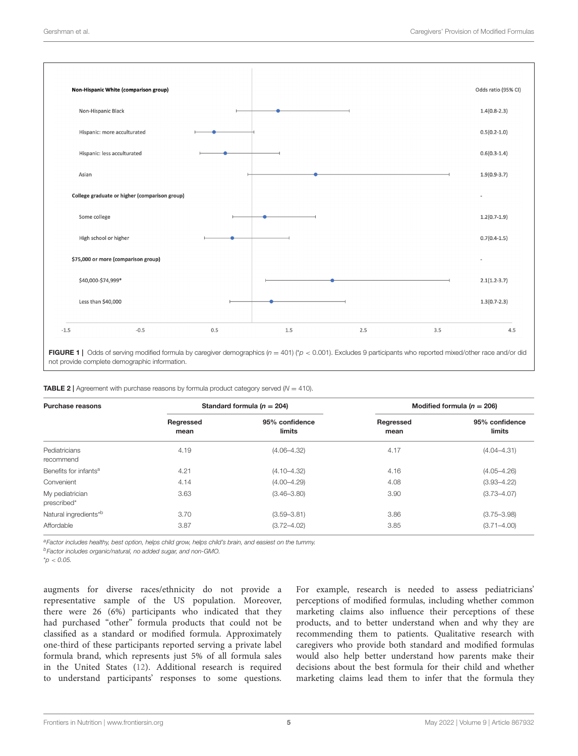

<span id="page-4-0"></span>FIGURE 1 | Odds of serving modified formula by caregiver demographics  $(n = 401)$  ( $p < 0.001$ ). Excludes 9 participants who reported mixed/other race and/or did not provide complete demographic information.

<span id="page-4-1"></span>

| <b>TABLE 2</b>   Agreement with purchase reasons by formula product category served ( $N = 410$ ). |  |  |
|----------------------------------------------------------------------------------------------------|--|--|
|----------------------------------------------------------------------------------------------------|--|--|

| Purchase reasons                  | Standard formula ( $n = 204$ ) |                          | Modified formula ( $n = 206$ ) |                          |  |
|-----------------------------------|--------------------------------|--------------------------|--------------------------------|--------------------------|--|
|                                   | Regressed<br>mean              | 95% confidence<br>limits | Regressed<br>mean              | 95% confidence<br>limits |  |
| Pediatricians<br>recommend        | 4.19                           | $(4.06 - 4.32)$          | 4.17                           | $(4.04 - 4.31)$          |  |
| Benefits for infants <sup>a</sup> | 4.21                           | $(4.10 - 4.32)$          | 4.16                           | $(4.05 - 4.26)$          |  |
| Convenient                        | 4.14                           | $(4.00 - 4.29)$          | 4.08                           | $(3.93 - 4.22)$          |  |
| My pediatrician<br>prescribed*    | 3.63                           | $(3.46 - 3.80)$          | 3.90                           | $(3.73 - 4.07)$          |  |
| Natural ingredients <sup>*b</sup> | 3.70                           | $(3.59 - 3.81)$          | 3.86                           | $(3.75 - 3.98)$          |  |
| Affordable                        | 3.87                           | $(3.72 - 4.02)$          | 3.85                           | $(3.71 - 4.00)$          |  |

aFactor includes healthy, best option, helps child grow, helps child's brain, and easiest on the tummy.

<sup>b</sup>Factor includes organic/natural, no added sugar, and non-GMO.

 $^{\star}$ p < 0.05.

augments for diverse races/ethnicity do not provide a representative sample of the US population. Moreover, there were 26 (6%) participants who indicated that they had purchased "other" formula products that could not be classified as a standard or modified formula. Approximately one-third of these participants reported serving a private label formula brand, which represents just 5% of all formula sales in the United States [\(12\)](#page-5-9). Additional research is required to understand participants' responses to some questions. For example, research is needed to assess pediatricians' perceptions of modified formulas, including whether common marketing claims also influence their perceptions of these products, and to better understand when and why they are recommending them to patients. Qualitative research with caregivers who provide both standard and modified formulas would also help better understand how parents make their decisions about the best formula for their child and whether marketing claims lead them to infer that the formula they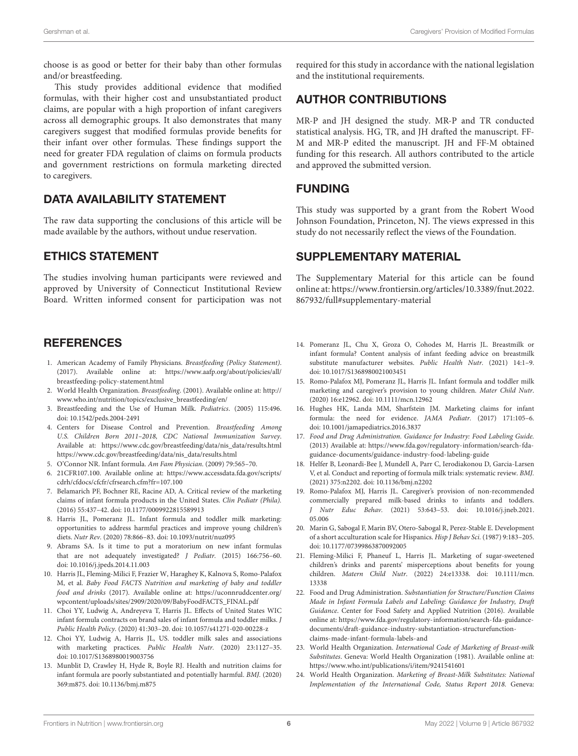choose is as good or better for their baby than other formulas and/or breastfeeding.

This study provides additional evidence that modified formulas, with their higher cost and unsubstantiated product claims, are popular with a high proportion of infant caregivers across all demographic groups. It also demonstrates that many caregivers suggest that modified formulas provide benefits for their infant over other formulas. These findings support the need for greater FDA regulation of claims on formula products and government restrictions on formula marketing directed to caregivers.

## DATA AVAILABILITY STATEMENT

The raw data supporting the conclusions of this article will be made available by the authors, without undue reservation.

## ETHICS STATEMENT

The studies involving human participants were reviewed and approved by University of Connecticut Institutional Review Board. Written informed consent for participation was not

## REFERENCES

- <span id="page-5-0"></span>1. American Academy of Family Physicians. Breastfeeding (Policy Statement). (2017). Available online at: [https://www.aafp.org/about/policies/all/](https://www.aafp.org/about/policies/all/breastfeeding-policy-statement.html) [breastfeeding-policy-statement.html](https://www.aafp.org/about/policies/all/breastfeeding-policy-statement.html)
- 2. World Health Organization. Breastfeeding. (2001). Available online at: [http://](http://www.who.int/nutrition/topics/exclusive_breastfeeding/en/) [www.who.int/nutrition/topics/exclusive\\_breastfeeding/en/](http://www.who.int/nutrition/topics/exclusive_breastfeeding/en/)
- <span id="page-5-1"></span>3. Breastfeeding and the Use of Human Milk. Pediatrics. (2005) 115:496. doi: [10.1542/peds.2004-2491](https://doi.org/10.1542/peds.2004-2491)
- <span id="page-5-2"></span>4. Centers for Disease Control and Prevention. Breastfeeding Among U.S. Children Born 2011–2018, CDC National Immunization Survey. Available at: [https://www.cdc.gov/breastfeeding/data/nis\\_data/results.html](https://www.cdc.gov/breastfeeding/data/nis_data/results.html) https://www.cdc.gov/breastfeeding/data/nis\_data/results.html
- <span id="page-5-3"></span>5. O'Connor NR. Infant formula. Am Fam Physician. (2009) 79:565–70.
- <span id="page-5-4"></span>6. 21CFR107.100. Available online at: [https://www.accessdata.fda.gov/scripts/](https://www.accessdata.fda.gov/scripts/cdrh/cfdocs/cfcfr/cfrsearch.cfm?fr=107.100) [cdrh/cfdocs/cfcfr/cfrsearch.cfm?fr=107.100](https://www.accessdata.fda.gov/scripts/cdrh/cfdocs/cfcfr/cfrsearch.cfm?fr=107.100)
- <span id="page-5-5"></span>7. Belamarich PF, Bochner RE, Racine AD, A. Critical review of the marketing claims of infant formula products in the United States. Clin Pediatr (Phila). (2016) 55:437–42. doi: [10.1177/0009922815589913](https://doi.org/10.1177/0009922815589913)
- 8. Harris JL, Pomeranz JL. Infant formula and toddler milk marketing: opportunities to address harmful practices and improve young children's diets. Nutr Rev. (2020) 78:866–83. doi: [10.1093/nutrit/nuz095](https://doi.org/10.1093/nutrit/nuz095)
- <span id="page-5-6"></span>9. Abrams SA. Is it time to put a moratorium on new infant formulas that are not adequately investigated? J Pediatr. (2015) 166:756–60. doi: [10.1016/j.jpeds.2014.11.003](https://doi.org/10.1016/j.jpeds.2014.11.003)
- <span id="page-5-7"></span>10. Harris JL, Fleming-Milici F, Frazier W, Haraghey K, Kalnova S, Romo-Palafox M, et al. Baby Food FACTS Nutrition and marketing of baby and toddler food and drinks (2017). Available online at: [https://uconnruddcenter.org/](https://uconnruddcenter.org/wpcontent/uploads/sites/2909/2020/09/BabyFoodFACTS_FINAL.pdf) [wpcontent/uploads/sites/2909/2020/09/BabyFoodFACTS\\_FINAL.pdf](https://uconnruddcenter.org/wpcontent/uploads/sites/2909/2020/09/BabyFoodFACTS_FINAL.pdf)
- <span id="page-5-8"></span>11. Choi YY, Ludwig A, Andreyeva T, Harris JL. Effects of United States WIC infant formula contracts on brand sales of infant formula and toddler milks. J Public Health Policy. (2020) 41:303–20. doi: [10.1057/s41271-020-00228-z](https://doi.org/10.1057/s41271-020-00228-z)
- <span id="page-5-9"></span>12. Choi YY, Ludwig A, Harris JL, US. toddler milk sales and associations with marketing practices. Public Health Nutr. (2020) 23:1127–35. doi: [10.1017/S1368980019003756](https://doi.org/10.1017/S1368980019003756)
- <span id="page-5-10"></span>13. Munblit D, Crawley H, Hyde R, Boyle RJ. Health and nutrition claims for infant formula are poorly substantiated and potentially harmful. BMJ. (2020) 369:m875. doi: [10.1136/bmj.m875](https://doi.org/10.1136/bmj.m875)

required for this study in accordance with the national legislation and the institutional requirements.

# AUTHOR CONTRIBUTIONS

MR-P and JH designed the study. MR-P and TR conducted statistical analysis. HG, TR, and JH drafted the manuscript. FF-M and MR-P edited the manuscript. JH and FF-M obtained funding for this research. All authors contributed to the article and approved the submitted version.

## FUNDING

This study was supported by a grant from the Robert Wood Johnson Foundation, Princeton, NJ. The views expressed in this study do not necessarily reflect the views of the Foundation.

## SUPPLEMENTARY MATERIAL

The Supplementary Material for this article can be found [online at: https://www.frontiersin.org/articles/10.3389/fnut.2022.](https://www.frontiersin.org/articles/10.3389/fnut.2022.867932/full#supplementary-material) 867932/full#supplementary-material

- <span id="page-5-12"></span>14. Pomeranz JL, Chu X, Groza O, Cohodes M, Harris JL. Breastmilk or infant formula? Content analysis of infant feeding advice on breastmilk substitute manufacturer websites. Public Health Nutr. (2021) 14:1–9. doi: [10.1017/S1368980021003451](https://doi.org/10.1017/S1368980021003451)
- <span id="page-5-13"></span>15. Romo-Palafox MJ, Pomeranz JL, Harris JL. Infant formula and toddler milk marketing and caregiver's provision to young children. Mater Child Nutr. (2020) 16:e12962. doi: [10.1111/mcn.12962](https://doi.org/10.1111/mcn.12962)
- <span id="page-5-11"></span>16. Hughes HK, Landa MM, Sharfstein JM. Marketing claims for infant formula: the need for evidence. JAMA Pediatr. (2017) 171:105–6. doi: [10.1001/jamapediatrics.2016.3837](https://doi.org/10.1001/jamapediatrics.2016.3837)
- <span id="page-5-14"></span>17. Food and Drug Administration. Guidance for Industry: Food Labeling Guide. (2013) Available at: [https://www.fda.gov/regulatory-information/search-fda](https://www.fda.gov/regulatory-information/search-fda-guidance-documents/guidance-industry-food-labeling-guide)[guidance-documents/guidance-industry-food-labeling-guide](https://www.fda.gov/regulatory-information/search-fda-guidance-documents/guidance-industry-food-labeling-guide)
- <span id="page-5-15"></span>18. Helfer B, Leonardi-Bee J, Mundell A, Parr C, Ierodiakonou D, Garcia-Larsen V, et al. Conduct and reporting of formula milk trials: systematic review. BMJ. (2021) 375:n2202. doi: [10.1136/bmj.n2202](https://doi.org/10.1136/bmj.n2202)
- <span id="page-5-16"></span>19. Romo-Palafox MJ, Harris JL. Caregiver's provision of non-recommended commercially prepared milk-based drinks to infants and toddlers. J Nutr Educ Behav. [\(2021\) 53:643–53. doi: 10.1016/j.jneb.2021.](https://doi.org/10.1016/j.jneb.2021.05.006) 05.006
- <span id="page-5-17"></span>20. Marin G, Sabogal F, Marin BV, Otero-Sabogal R, Perez-Stable E. Development of a short acculturation scale for Hispanics. Hisp J Behav Sci. (1987) 9:183–205. doi: [10.1177/07399863870092005](https://doi.org/10.1177/07399863870092005)
- <span id="page-5-18"></span>21. Fleming-Milici F, Phaneuf L, Harris JL. Marketing of sugar-sweetened children's drinks and parents' misperceptions about benefits for young children. Matern Child Nutr[. \(2022\) 24:e13338. doi: 10.1111/mcn.](https://doi.org/10.1111/mcn.13338) 13338
- <span id="page-5-19"></span>22. Food and Drug Administration. Substantiation for Structure/Function Claims Made in Infant Formula Labels and Labeling: Guidance for Industry, Draft Guidance. Center for Food Safety and Applied Nutrition (2016). Available online at: [https://www.fda.gov/regulatory-information/search-fda-guidance](https://www.fda.gov/regulatory-information/search-fda-guidance-documents/draft-guidance-industry-substantiation-structurefunction-claims-made-infant-formula-labels-and)[documents/draft-guidance-industry-substantiation-structurefunction](https://www.fda.gov/regulatory-information/search-fda-guidance-documents/draft-guidance-industry-substantiation-structurefunction-claims-made-infant-formula-labels-and)[claims-made-infant-formula-labels-and](https://www.fda.gov/regulatory-information/search-fda-guidance-documents/draft-guidance-industry-substantiation-structurefunction-claims-made-infant-formula-labels-and)
- <span id="page-5-20"></span>23. World Health Organization. International Code of Marketing of Breast-milk Substitutes. Geneva: World Health Organization (1981). Available online at: <https://www.who.int/publications/i/item/9241541601>
- <span id="page-5-21"></span>24. World Health Organization. Marketing of Breast-Milk Substitutes: National Implementation of the International Code, Status Report 2018. Geneva: